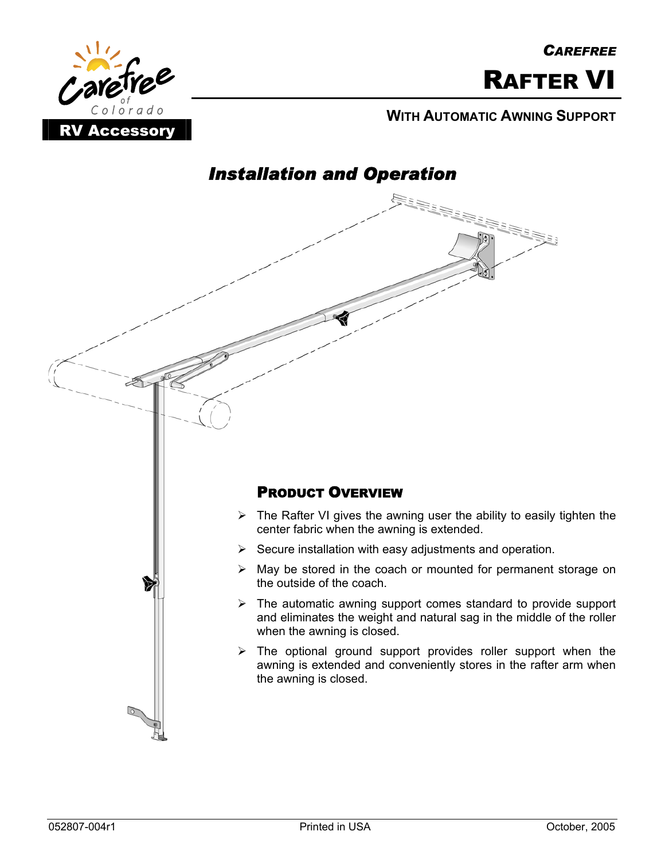

#### **WITH AUTOMATIC AWNING SUPPORT**



# *Installation and Operation*

#### PRODUCT OVERVIEW

- $\triangleright$  The Rafter VI gives the awning user the ability to easily tighten the center fabric when the awning is extended.
- $\triangleright$  Secure installation with easy adjustments and operation.
- $\triangleright$  May be stored in the coach or mounted for permanent storage on the outside of the coach.
- $\triangleright$  The automatic awning support comes standard to provide support and eliminates the weight and natural sag in the middle of the roller when the awning is closed.
- $\triangleright$  The optional ground support provides roller support when the awning is extended and conveniently stores in the rafter arm when the awning is closed.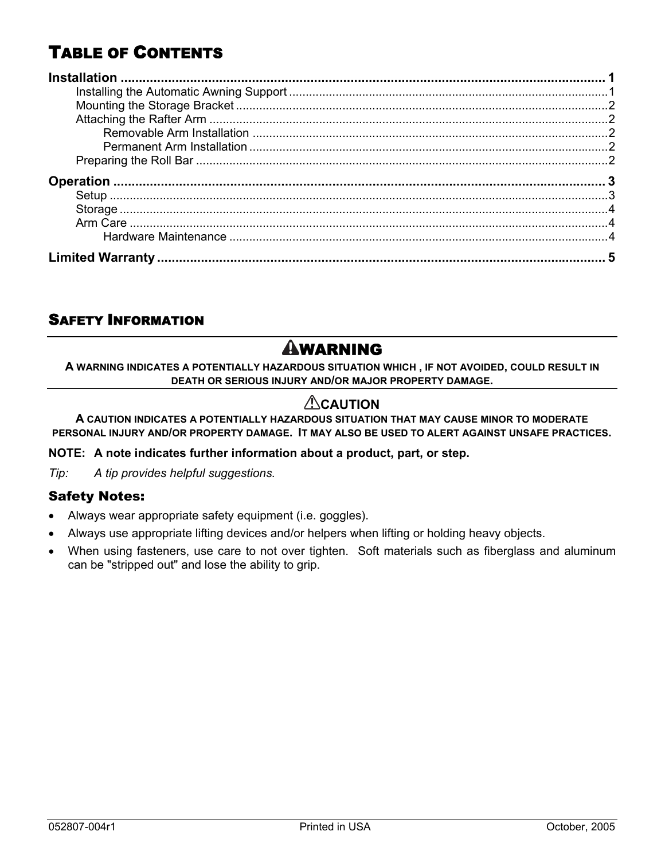# TABLE OF CONTENTS

#### SAFETY INFORMATION

# **AWARNING**

**A WARNING INDICATES A POTENTIALLY HAZARDOUS SITUATION WHICH , IF NOT AVOIDED, COULD RESULT IN DEATH OR SERIOUS INJURY AND/OR MAJOR PROPERTY DAMAGE.** 

#### **ACAUTION**

**A CAUTION INDICATES A POTENTIALLY HAZARDOUS SITUATION THAT MAY CAUSE MINOR TO MODERATE PERSONAL INJURY AND/OR PROPERTY DAMAGE. IT MAY ALSO BE USED TO ALERT AGAINST UNSAFE PRACTICES.** 

**NOTE: A note indicates further information about a product, part, or step.** 

*Tip: A tip provides helpful suggestions.* 

#### Safety Notes:

- Always wear appropriate safety equipment (i.e. goggles).
- Always use appropriate lifting devices and/or helpers when lifting or holding heavy objects.
- When using fasteners, use care to not over tighten. Soft materials such as fiberglass and aluminum can be "stripped out" and lose the ability to grip.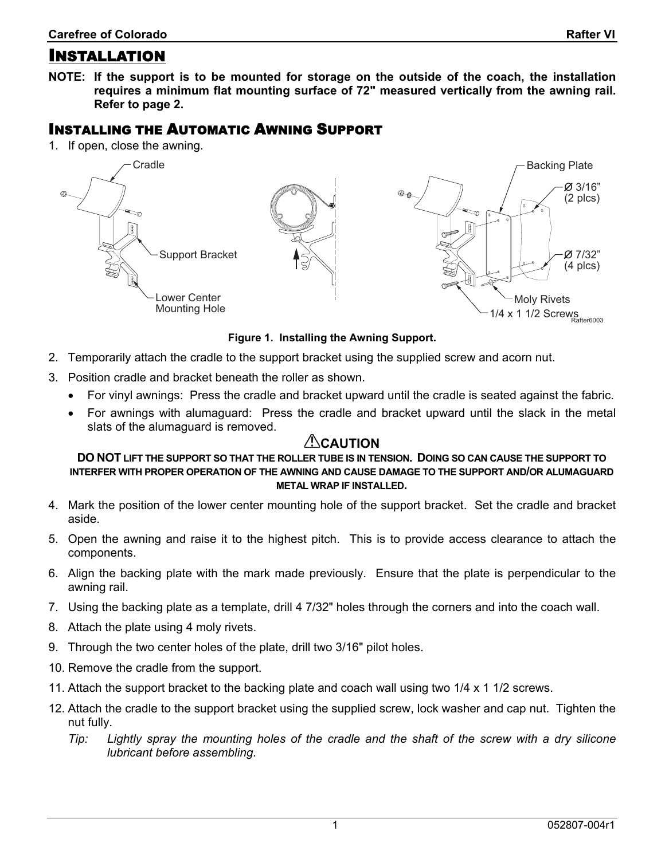<span id="page-2-0"></span>**NOTE: If the support is to be mounted for storage on the outside of the coach, the installation requires a minimum flat mounting surface of 72" measured vertically from the awning rail. Refer to page [2](#page-3-0).** 

#### INSTALLING THE AUTOMATIC AWNING SUPPORT

1. If open, close the awning.



**Figure 1. Installing the Awning Support.** 

- 2. Temporarily attach the cradle to the support bracket using the supplied screw and acorn nut.
- 3. Position cradle and bracket beneath the roller as shown.
	- For vinyl awnings: Press the cradle and bracket upward until the cradle is seated against the fabric.
	- For awnings with alumaguard: Press the cradle and bracket upward until the slack in the metal slats of the alumaguard is removed.

#### **ALCAUTION**

**DO NOT LIFT THE SUPPORT SO THAT THE ROLLER TUBE IS IN TENSION. DOING SO CAN CAUSE THE SUPPORT TO INTERFER WITH PROPER OPERATION OF THE AWNING AND CAUSE DAMAGE TO THE SUPPORT AND/OR ALUMAGUARD METAL WRAP IF INSTALLED.** 

- 4. Mark the position of the lower center mounting hole of the support bracket. Set the cradle and bracket aside.
- 5. Open the awning and raise it to the highest pitch. This is to provide access clearance to attach the components.
- 6. Align the backing plate with the mark made previously. Ensure that the plate is perpendicular to the awning rail.
- 7. Using the backing plate as a template, drill 4 7/32" holes through the corners and into the coach wall.
- 8. Attach the plate using 4 moly rivets.
- 9. Through the two center holes of the plate, drill two 3/16" pilot holes.
- 10. Remove the cradle from the support.
- 11. Attach the support bracket to the backing plate and coach wall using two 1/4 x 1 1/2 screws.
- 12. Attach the cradle to the support bracket using the supplied screw, lock washer and cap nut. Tighten the nut fully.
	- *Tip: Lightly spray the mounting holes of the cradle and the shaft of the screw with a dry silicone lubricant before assembling.*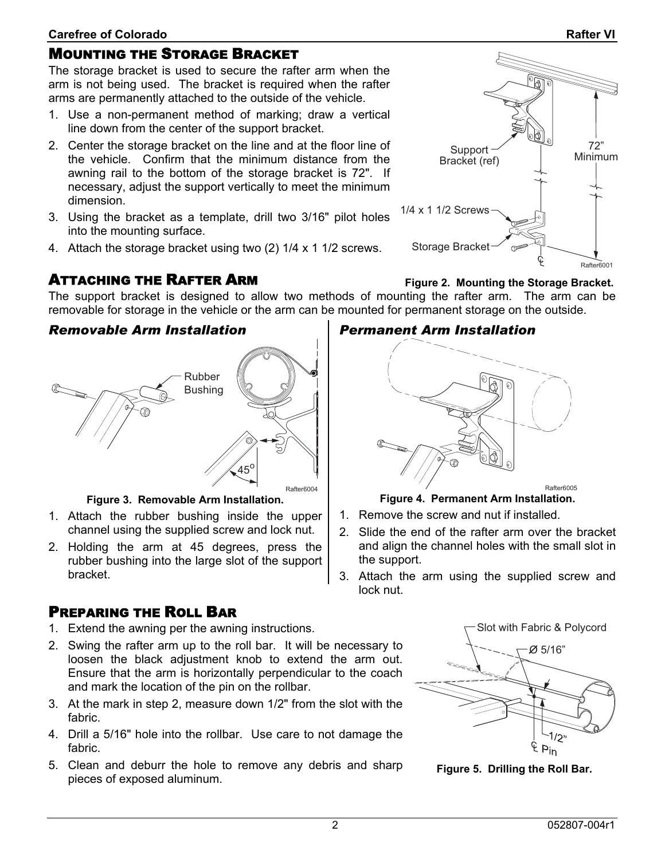#### <span id="page-3-0"></span>MOUNTING THE STORAGE BRACKET

The storage bracket is used to secure the rafter arm when the arm is not being used. The bracket is required when the rafter arms are permanently attached to the outside of the vehicle.

- 1. Use a non-permanent method of marking; draw a vertical line down from the center of the support bracket.
- 2. Center the storage bracket on the line and at the floor line of the vehicle. Confirm that the minimum distance from the awning rail to the bottom of the storage bracket is 72". If necessary, adjust the support vertically to meet the minimum dimension.
- 3. Using the bracket as a template, drill two 3/16" pilot holes into the mounting surface.
- 4. Attach the storage bracket using two (2) 1/4 x 1 1/2 screws.

## ATTACHING THE RAFTER ARM

The support bracket is designed to allow two methods of mounting the rafter arm. The arm can be removable for storage in the vehicle or the arm can be mounted for permanent storage on the outside. **Figure 2. Mounting the Storage Bracket.** 

#### *Removable Arm Installation*



**Figure 3. Removable Arm Installation.** 

- 1. Attach the rubber bushing inside the upper channel using the supplied screw and lock nut.
- 2. Holding the arm at 45 degrees, press the rubber bushing into the large slot of the support bracket.

#### PREPARING THE ROLL BAR

- 1. Extend the awning per the awning instructions.
- 2. Swing the rafter arm up to the roll bar. It will be necessary to loosen the black adjustment knob to extend the arm out. Ensure that the arm is horizontally perpendicular to the coach and mark the location of the pin on the rollbar.
- 3. At the mark in step 2, measure down 1/2" from the slot with the fabric.
- 4. Drill a 5/16" hole into the rollbar. Use care to not damage the fabric.
- 5. Clean and deburr the hole to remove any debris and sharp pieces of exposed aluminum.

# *Permanent Arm Installation*



**Figure 4. Permanent Arm Installation.** 

- 1. Remove the screw and nut if installed.
- 2. Slide the end of the rafter arm over the bracket and align the channel holes with the small slot in the support.
- 3. Attach the arm using the supplied screw and lock nut.



**Figure 5. Drilling the Roll Bar.** 

# Storage Bracket Rafter6001

# 72"  $\text{Support} \sim \text{Minimum}$ Bracket (ref) 1/4 x 1 1/2 Screws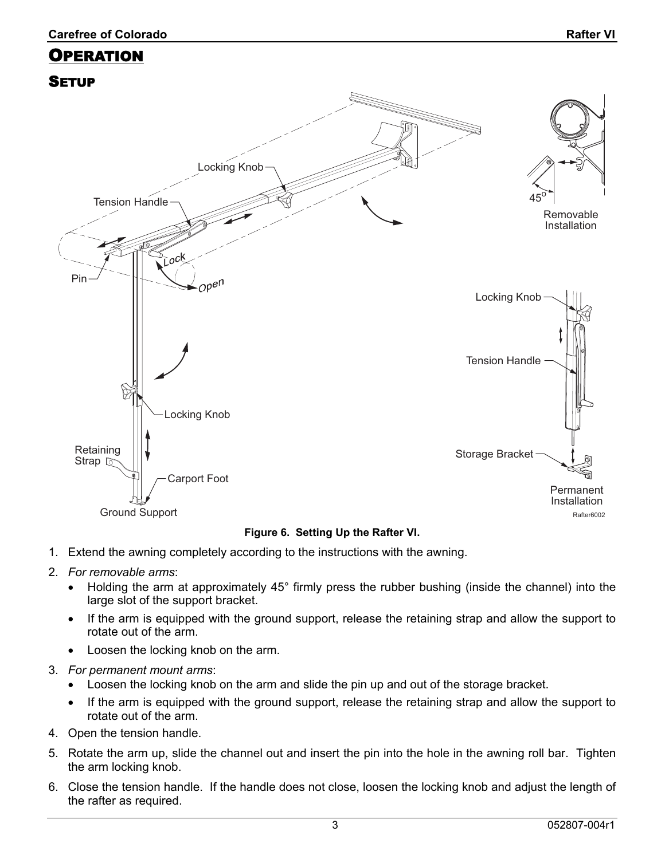# <span id="page-4-0"></span>OPERATION **SETUP** Locking Knob  $45^{\tilde{0}}$ Tension Handle Removable Installation  $O^{\mathcal{C}}$ Pin Open Locking Knob Tension Handle  $\widetilde{\mathbb{Z}}$ Locking Knob

 $\text{Storage Bracket}$   $\text{[} \parallel \text{[} \parallel \text{[} \parallel \text{[} \parallel \text{[} \parallel \text{[} \parallel \text{[} \parallel \text{[} \parallel \text{[} \parallel \text{[} \parallel \text{[} \parallel \text{[} \parallel \text{[} \parallel \text{[} \parallel \text{[} \parallel \text{[} \parallel \text{[} \parallel \text{[} \parallel \text{[} \parallel \text{[} \parallel \text{[} \parallel \text{[} \parallel \text{[} \parallel \text{[} \parallel \text{[} \parallel \text{[} \parallel \text{[} \parallel \text{[} \parallel \text{[} \parallel \text{$ Carport Foot

#### **Figure 6. Setting Up the Rafter VI.**

1. Extend the awning completely according to the instructions with the awning.

#### 2. *For removable arms*:

Retaining<br>Strap

- Holding the arm at approximately 45° firmly press the rubber bushing (inside the channel) into the large slot of the support bracket.
- If the arm is equipped with the ground support, release the retaining strap and allow the support to rotate out of the arm.
- Loosen the locking knob on the arm.
- 3. *For permanent mount arms*:

Ground Support

- Loosen the locking knob on the arm and slide the pin up and out of the storage bracket.
- If the arm is equipped with the ground support, release the retaining strap and allow the support to rotate out of the arm.
- 4. Open the tension handle.
- 5. Rotate the arm up, slide the channel out and insert the pin into the hole in the awning roll bar. Tighten the arm locking knob.
- 6. Close the tension handle. If the handle does not close, loosen the locking knob and adjust the length of the rafter as required.

Permanent Installation

Rafter6002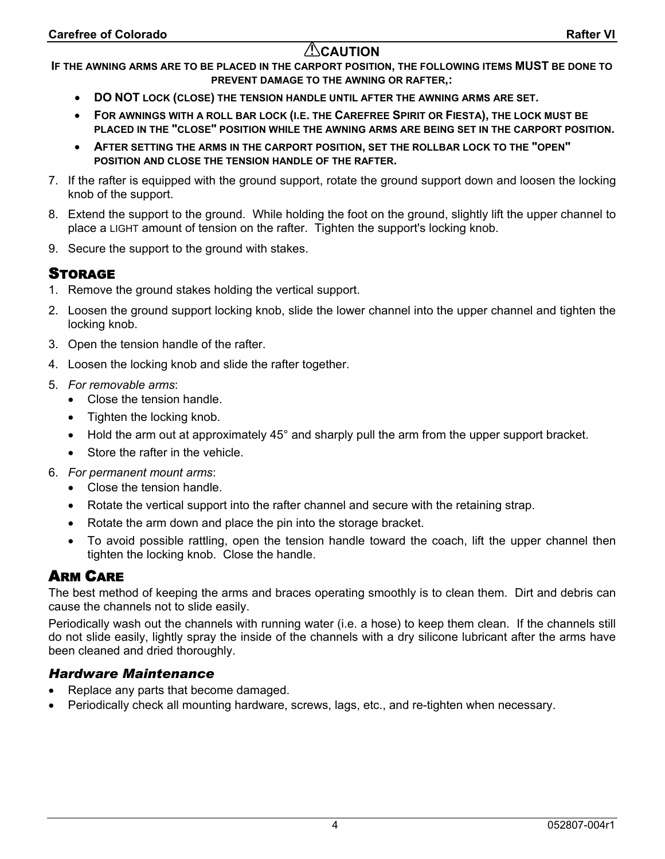#### **ACAUTION**

<span id="page-5-0"></span>**IF THE AWNING ARMS ARE TO BE PLACED IN THE CARPORT POSITION, THE FOLLOWING ITEMS MUST BE DONE TO PREVENT DAMAGE TO THE AWNING OR RAFTER,:** 

- **DO NOT LOCK (CLOSE) THE TENSION HANDLE UNTIL AFTER THE AWNING ARMS ARE SET.**
- **FOR AWNINGS WITH A ROLL BAR LOCK (I.E. THE CAREFREE SPIRIT OR FIESTA), THE LOCK MUST BE PLACED IN THE "CLOSE" POSITION WHILE THE AWNING ARMS ARE BEING SET IN THE CARPORT POSITION.**
- **AFTER SETTING THE ARMS IN THE CARPORT POSITION, SET THE ROLLBAR LOCK TO THE "OPEN" POSITION AND CLOSE THE TENSION HANDLE OF THE RAFTER.**
- 7. If the rafter is equipped with the ground support, rotate the ground support down and loosen the locking knob of the support.
- 8. Extend the support to the ground. While holding the foot on the ground, slightly lift the upper channel to place a LIGHT amount of tension on the rafter. Tighten the support's locking knob.
- 9. Secure the support to the ground with stakes.

#### STORAGE

- 1. Remove the ground stakes holding the vertical support.
- 2. Loosen the ground support locking knob, slide the lower channel into the upper channel and tighten the locking knob.
- 3. Open the tension handle of the rafter.
- 4. Loosen the locking knob and slide the rafter together.
- 5. *For removable arms*:
	- Close the tension handle.
	- Tighten the locking knob.
	- Hold the arm out at approximately 45° and sharply pull the arm from the upper support bracket.
	- Store the rafter in the vehicle.
- 6. *For permanent mount arms*:
	- Close the tension handle.
	- Rotate the vertical support into the rafter channel and secure with the retaining strap.
	- Rotate the arm down and place the pin into the storage bracket.
	- To avoid possible rattling, open the tension handle toward the coach, lift the upper channel then tighten the locking knob. Close the handle.

#### ARM CARE

The best method of keeping the arms and braces operating smoothly is to clean them. Dirt and debris can cause the channels not to slide easily.

Periodically wash out the channels with running water (i.e. a hose) to keep them clean. If the channels still do not slide easily, lightly spray the inside of the channels with a dry silicone lubricant after the arms have been cleaned and dried thoroughly.

#### *Hardware Maintenance*

- Replace any parts that become damaged.
- Periodically check all mounting hardware, screws, lags, etc., and re-tighten when necessary.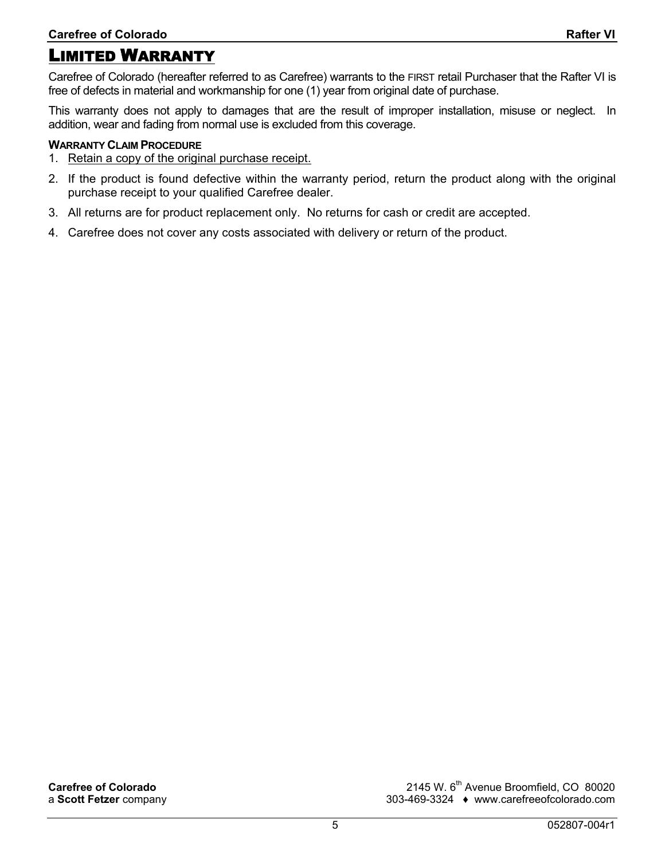### <span id="page-6-0"></span>LIMITED WARRANTY

Carefree of Colorado (hereafter referred to as Carefree) warrants to the FIRST retail Purchaser that the Rafter VI is free of defects in material and workmanship for one (1) year from original date of purchase.

This warranty does not apply to damages that are the result of improper installation, misuse or neglect. In addition, wear and fading from normal use is excluded from this coverage.

#### **WARRANTY CLAIM PROCEDURE**

- 1. Retain a copy of the original purchase receipt.
- 2. If the product is found defective within the warranty period, return the product along with the original purchase receipt to your qualified Carefree dealer.
- 3. All returns are for product replacement only. No returns for cash or credit are accepted.
- 4. Carefree does not cover any costs associated with delivery or return of the product.